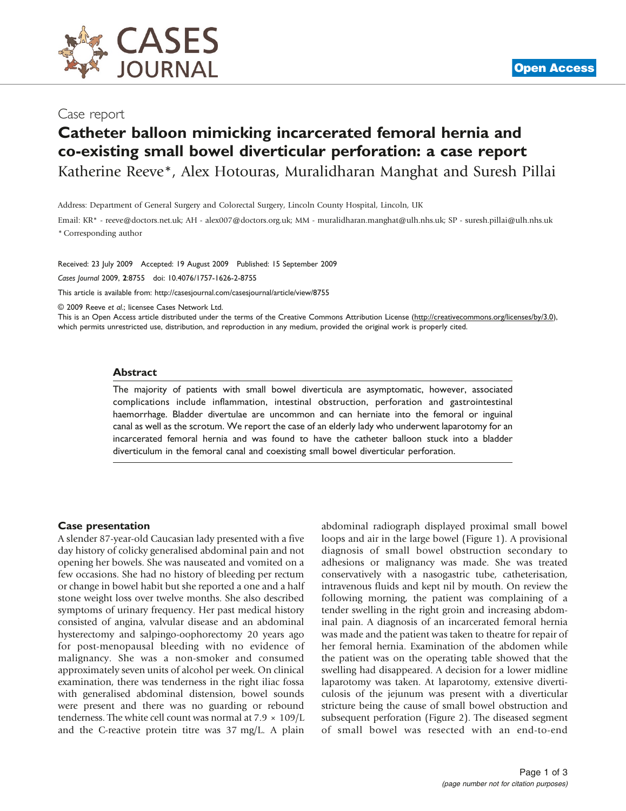

# Catheter balloon mimicking incarcerated femoral hernia and co-existing small bowel diverticular perforation: a case report

Katherine Reeve\*, Alex Hotouras, Muralidharan Manghat and Suresh Pillai

Address: Department of General Surgery and Colorectal Surgery, Lincoln County Hospital, Lincoln, UK

Email: KR\* - [reeve@doctors.net.uk](mailto:reeve@doctors.net.uk); AH - [alex007@doctors.org.uk](mailto:alex007@doctors.org.uk); MM - [muralidharan.manghat@ulh.nhs.uk](mailto:muralidharan.manghat@ulh.nhs.uk); SP - [suresh.pillai@ulh.nhs.uk](mailto:suresh.pillai@ulh.nhs.uk) \* Corresponding author

Received: 23 July 2009 Accepted: 19 August 2009 Published: 15 September 2009 Cases Journal 2009, 2:8755 doi: 10.4076/1757-1626-2-8755

This article is available from:<http://casesjournal.com/casesjournal/article/view/8755>

© 2009 Reeve et al.; licensee Cases Network Ltd.

This is an Open Access article distributed under the terms of the Creative Commons Attribution License [\(http://creativecommons.org/licenses/by/3.0\)](http://creativecommons.org/licenses/by/3.0), which permits unrestricted use, distribution, and reproduction in any medium, provided the original work is properly cited.

#### **Abstract**

The majority of patients with small bowel diverticula are asymptomatic, however, associated complications include inflammation, intestinal obstruction, perforation and gastrointestinal haemorrhage. Bladder divertulae are uncommon and can herniate into the femoral or inguinal canal as well as the scrotum. We report the case of an elderly lady who underwent laparotomy for an incarcerated femoral hernia and was found to have the catheter balloon stuck into a bladder diverticulum in the femoral canal and coexisting small bowel diverticular perforation.

#### Case presentation

A slender 87-year-old Caucasian lady presented with a five day history of colicky generalised abdominal pain and not opening her bowels. She was nauseated and vomited on a few occasions. She had no history of bleeding per rectum or change in bowel habit but she reported a one and a half stone weight loss over twelve months. She also described symptoms of urinary frequency. Her past medical history consisted of angina, valvular disease and an abdominal hysterectomy and salpingo-oophorectomy 20 years ago for post-menopausal bleeding with no evidence of malignancy. She was a non-smoker and consumed approximately seven units of alcohol per week. On clinical examination, there was tenderness in the right iliac fossa with generalised abdominal distension, bowel sounds were present and there was no guarding or rebound tenderness. The white cell count was normal at  $7.9 \times 109/L$ and the C-reactive protein titre was 37 mg/L. A plain

abdominal radiograph displayed proximal small bowel loops and air in the large bowel [\(Figure 1](#page-1-0)). A provisional diagnosis of small bowel obstruction secondary to adhesions or malignancy was made. She was treated conservatively with a nasogastric tube, catheterisation, intravenous fluids and kept nil by mouth. On review the following morning, the patient was complaining of a tender swelling in the right groin and increasing abdominal pain. A diagnosis of an incarcerated femoral hernia was made and the patient was taken to theatre for repair of her femoral hernia. Examination of the abdomen while the patient was on the operating table showed that the swelling had disappeared. A decision for a lower midline laparotomy was taken. At laparotomy, extensive diverticulosis of the jejunum was present with a diverticular stricture being the cause of small bowel obstruction and subsequent perforation ([Figure 2](#page-1-0)). The diseased segment of small bowel was resected with an end-to-end

**[Open Access](http://casesjournal.com/casesjournal/pages/view/faq)**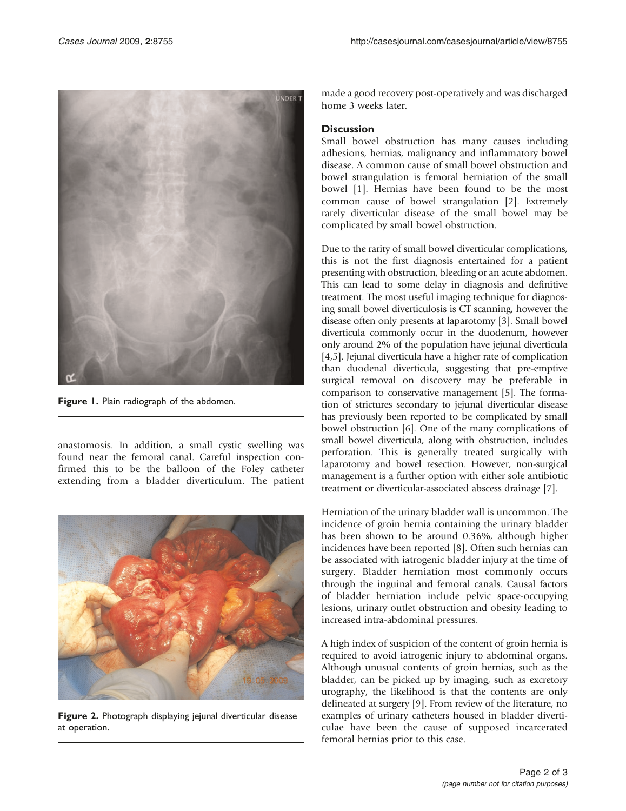<span id="page-1-0"></span>

Figure 1. Plain radiograph of the abdomen.

anastomosis. In addition, a small cystic swelling was found near the femoral canal. Careful inspection confirmed this to be the balloon of the Foley catheter extending from a bladder diverticulum. The patient



Figure 2. Photograph displaying jejunal diverticular disease at operation.

made a good recovery post-operatively and was discharged home 3 weeks later.

### **Discussion**

Small bowel obstruction has many causes including adhesions, hernias, malignancy and inflammatory bowel disease. A common cause of small bowel obstruction and bowel strangulation is femoral herniation of the small bowel [\[1\]](#page-2-0). Hernias have been found to be the most common cause of bowel strangulation [\[2\]](#page-2-0). Extremely rarely diverticular disease of the small bowel may be complicated by small bowel obstruction.

Due to the rarity of small bowel diverticular complications, this is not the first diagnosis entertained for a patient presenting with obstruction, bleeding or an acute abdomen. This can lead to some delay in diagnosis and definitive treatment. The most useful imaging technique for diagnosing small bowel diverticulosis is CT scanning, however the disease often only presents at laparotomy [[3](#page-2-0)]. Small bowel diverticula commonly occur in the duodenum, however only around 2% of the population have jejunal diverticula [[4,5\]](#page-2-0). Jejunal diverticula have a higher rate of complication than duodenal diverticula, suggesting that pre-emptive surgical removal on discovery may be preferable in comparison to conservative management [\[5](#page-2-0)]. The formation of strictures secondary to jejunal diverticular disease has previously been reported to be complicated by small bowel obstruction [[6\]](#page-2-0). One of the many complications of small bowel diverticula, along with obstruction, includes perforation. This is generally treated surgically with laparotomy and bowel resection. However, non-surgical management is a further option with either sole antibiotic treatment or diverticular-associated abscess drainage [\[7](#page-2-0)].

Herniation of the urinary bladder wall is uncommon. The incidence of groin hernia containing the urinary bladder has been shown to be around 0.36%, although higher incidences have been reported [\[8\]](#page-2-0). Often such hernias can be associated with iatrogenic bladder injury at the time of surgery. Bladder herniation most commonly occurs through the inguinal and femoral canals. Causal factors of bladder herniation include pelvic space-occupying lesions, urinary outlet obstruction and obesity leading to increased intra-abdominal pressures.

A high index of suspicion of the content of groin hernia is required to avoid iatrogenic injury to abdominal organs. Although unusual contents of groin hernias, such as the bladder, can be picked up by imaging, such as excretory urography, the likelihood is that the contents are only delineated at surgery [[9](#page-2-0)]. From review of the literature, no examples of urinary catheters housed in bladder diverticulae have been the cause of supposed incarcerated femoral hernias prior to this case.